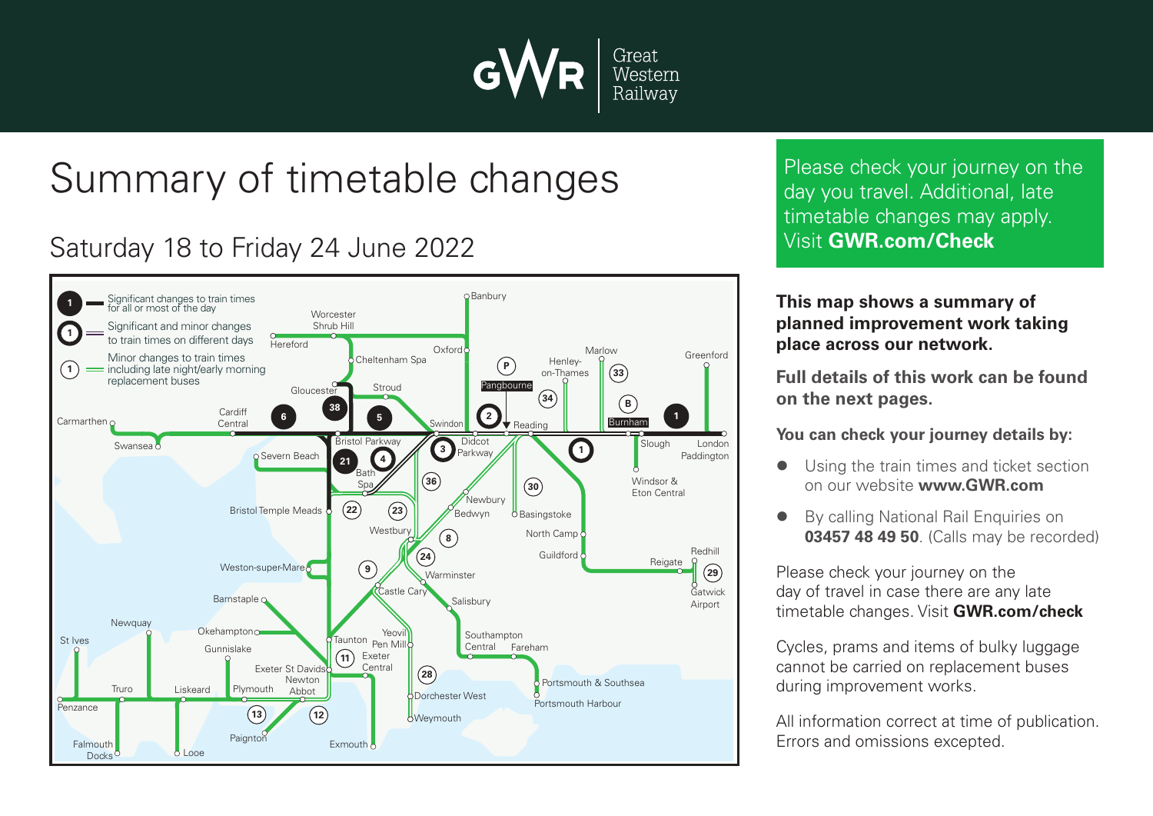

# Summary of timetable changes

# Saturday 18 to Friday 24 June 2022



Please check your journey on the day you travel. Additional, late timetable changes may apply. Visit **GWR.com/Check**

#### **This map shows a summary of planned improvement work taking place across our network.**

**Full details of this work can be found on the next pages.**

**You can check your journey details by:**

- Using the train times and ticket section on our website **www.GWR.com**
- **By calling National Rail Enquiries on 03457 48 49 50**. (Calls may be recorded)

Please check your journey on the day of travel in case there are any late timetable changes. Visit **GWR.com/check**

Cycles, prams and items of bulky luggage cannot be carried on replacement buses during improvement works.

All information correct at time of publication. Errors and omissions excepted.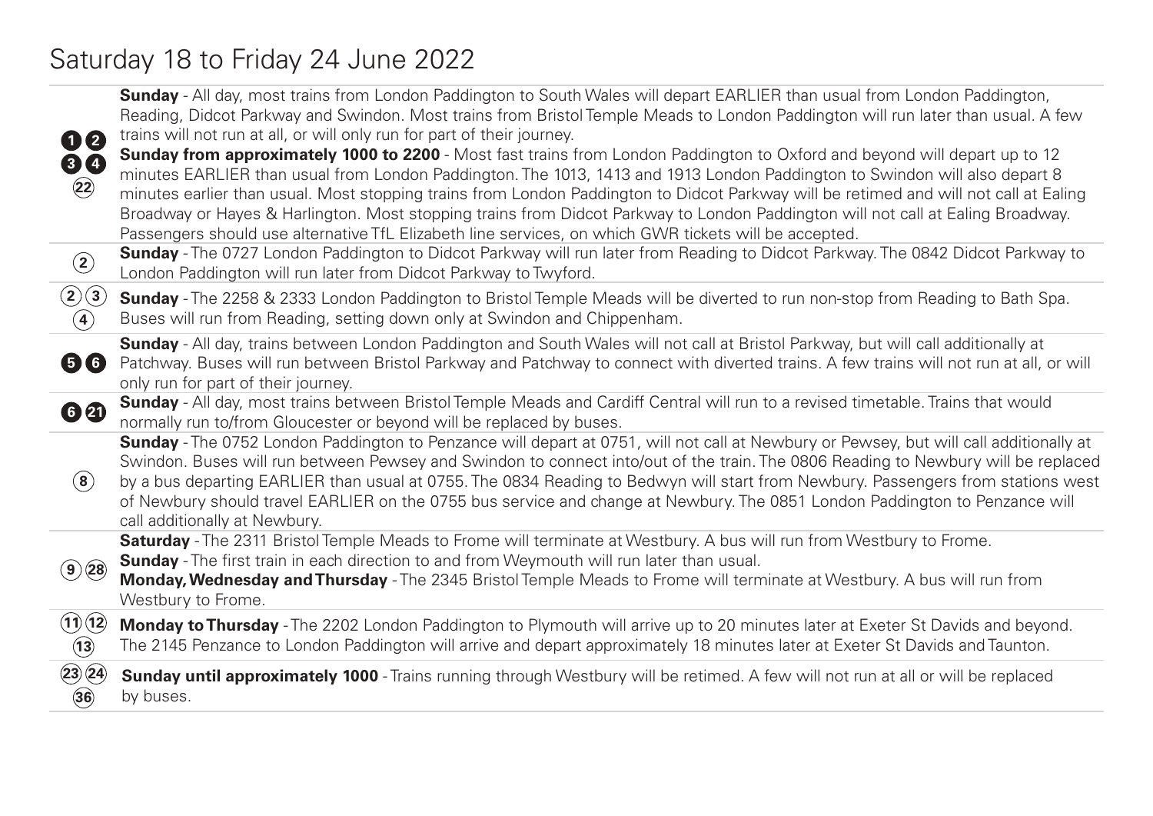## Saturday 18 to Friday 24 June 2022

|                                      | <b>Sunday</b> - All day, most trains from London Paddington to South Wales will depart EARLIER than usual from London Paddington,<br>Reading, Didcot Parkway and Swindon. Most trains from Bristol Temple Meads to London Paddington will run later than usual. A few<br>trains will not run at all, or will only run for part of their journey.                                                                                                                                                                                                                                                                                              |
|--------------------------------------|-----------------------------------------------------------------------------------------------------------------------------------------------------------------------------------------------------------------------------------------------------------------------------------------------------------------------------------------------------------------------------------------------------------------------------------------------------------------------------------------------------------------------------------------------------------------------------------------------------------------------------------------------|
| 00<br>$\frac{1}{22}$                 | Sunday from approximately 1000 to 2200 - Most fast trains from London Paddington to Oxford and beyond will depart up to 12<br>minutes EARLIER than usual from London Paddington. The 1013, 1413 and 1913 London Paddington to Swindon will also depart 8<br>minutes earlier than usual. Most stopping trains from London Paddington to Didcot Parkway will be retimed and will not call at Ealing<br>Broadway or Hayes & Harlington. Most stopping trains from Didcot Parkway to London Paddington will not call at Ealing Broadway.<br>Passengers should use alternative TfL Elizabeth line services, on which GWR tickets will be accepted. |
| $\circled{2}$                        | Sunday - The 0727 London Paddington to Didcot Parkway will run later from Reading to Didcot Parkway. The 0842 Didcot Parkway to<br>London Paddington will run later from Didcot Parkway to Twyford.                                                                                                                                                                                                                                                                                                                                                                                                                                           |
| $\bigcirc(3)$<br>$\ddot{\textbf{A}}$ | <b>Sunday</b> - The 2258 & 2333 London Paddington to Bristol Temple Meads will be diverted to run non-stop from Reading to Bath Spa.<br>Buses will run from Reading, setting down only at Swindon and Chippenham.                                                                                                                                                                                                                                                                                                                                                                                                                             |
| 56                                   | Sunday - All day, trains between London Paddington and South Wales will not call at Bristol Parkway, but will call additionally at<br>Patchway. Buses will run between Bristol Parkway and Patchway to connect with diverted trains. A few trains will not run at all, or will<br>only run for part of their journey.                                                                                                                                                                                                                                                                                                                         |
| 64                                   | Sunday - All day, most trains between Bristol Temple Meads and Cardiff Central will run to a revised timetable. Trains that would<br>normally run to/from Gloucester or beyond will be replaced by buses.                                                                                                                                                                                                                                                                                                                                                                                                                                     |
| $\left( \mathbf{8}\right)$           | Sunday - The 0752 London Paddington to Penzance will depart at 0751, will not call at Newbury or Pewsey, but will call additionally at<br>Swindon. Buses will run between Pewsey and Swindon to connect into/out of the train. The 0806 Reading to Newbury will be replaced<br>by a bus departing EARLIER than usual at 0755. The 0834 Reading to Bedwyn will start from Newbury. Passengers from stations west<br>of Newbury should travel EARLIER on the 0755 bus service and change at Newbury. The 0851 London Paddington to Penzance will<br>call additionally at Newbury.                                                               |
| (9)(28)                              | Saturday - The 2311 Bristol Temple Meads to Frome will terminate at Westbury. A bus will run from Westbury to Frome.<br><b>Sunday</b> - The first train in each direction to and from Weymouth will run later than usual.<br>Monday, Wednesday and Thursday - The 2345 Bristol Temple Meads to Frome will terminate at Westbury. A bus will run from<br>Westbury to Frome.                                                                                                                                                                                                                                                                    |
| (1)(2)<br>$\circled{13}$             | Monday to Thursday - The 2202 London Paddington to Plymouth will arrive up to 20 minutes later at Exeter St Davids and beyond.<br>The 2145 Penzance to London Paddington will arrive and depart approximately 18 minutes later at Exeter St Davids and Taunton.                                                                                                                                                                                                                                                                                                                                                                               |
| (23)(24)<br>$\circled{36}$           | <b>Sunday until approximately 1000</b> - Trains running through Westbury will be retimed. A few will not run at all or will be replaced<br>by buses.                                                                                                                                                                                                                                                                                                                                                                                                                                                                                          |